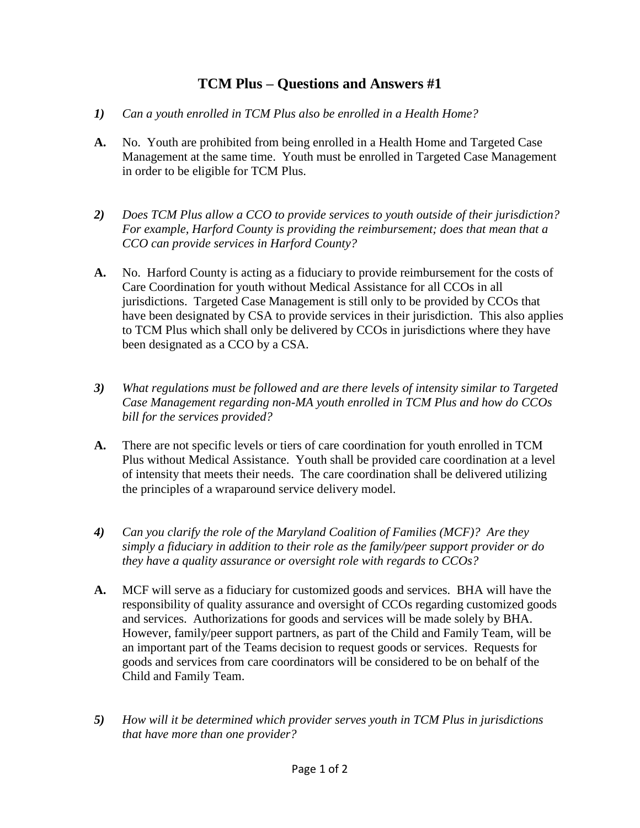## **TCM Plus – Questions and Answers #1**

- *1) Can a youth enrolled in TCM Plus also be enrolled in a Health Home?*
- **A.** No. Youth are prohibited from being enrolled in a Health Home and Targeted Case Management at the same time. Youth must be enrolled in Targeted Case Management in order to be eligible for TCM Plus.
- *2) Does TCM Plus allow a CCO to provide services to youth outside of their jurisdiction? For example, Harford County is providing the reimbursement; does that mean that a CCO can provide services in Harford County?*
- **A.** No. Harford County is acting as a fiduciary to provide reimbursement for the costs of Care Coordination for youth without Medical Assistance for all CCOs in all jurisdictions. Targeted Case Management is still only to be provided by CCOs that have been designated by CSA to provide services in their jurisdiction. This also applies to TCM Plus which shall only be delivered by CCOs in jurisdictions where they have been designated as a CCO by a CSA.
- *3) What regulations must be followed and are there levels of intensity similar to Targeted Case Management regarding non-MA youth enrolled in TCM Plus and how do CCOs bill for the services provided?*
- **A.** There are not specific levels or tiers of care coordination for youth enrolled in TCM Plus without Medical Assistance. Youth shall be provided care coordination at a level of intensity that meets their needs. The care coordination shall be delivered utilizing the principles of a wraparound service delivery model.
- *4) Can you clarify the role of the Maryland Coalition of Families (MCF)? Are they simply a fiduciary in addition to their role as the family/peer support provider or do they have a quality assurance or oversight role with regards to CCOs?*
- **A.** MCF will serve as a fiduciary for customized goods and services. BHA will have the responsibility of quality assurance and oversight of CCOs regarding customized goods and services. Authorizations for goods and services will be made solely by BHA. However, family/peer support partners, as part of the Child and Family Team, will be an important part of the Teams decision to request goods or services. Requests for goods and services from care coordinators will be considered to be on behalf of the Child and Family Team.
- *5) How will it be determined which provider serves youth in TCM Plus in jurisdictions that have more than one provider?*